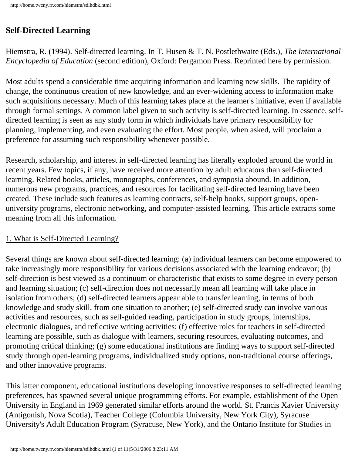# **Self-Directed Learning**

Hiemstra, R. (1994). Self-directed learning. In T. Husen & T. N. Postlethwaite (Eds.), *The International Encyclopedia of Education* (second edition), Oxford: Pergamon Press. Reprinted here by permission.

Most adults spend a considerable time acquiring information and learning new skills. The rapidity of change, the continuous creation of new knowledge, and an ever-widening access to information make such acquisitions necessary. Much of this learning takes place at the learner's initiative, even if available through formal settings. A common label given to such activity is self-directed learning. In essence, selfdirected learning is seen as any study form in which individuals have primary responsibility for planning, implementing, and even evaluating the effort. Most people, when asked, will proclaim a preference for assuming such responsibility whenever possible.

Research, scholarship, and interest in self-directed learning has literally exploded around the world in recent years. Few topics, if any, have received more attention by adult educators than self-directed learning. Related books, articles, monographs, conferences, and symposia abound. In addition, numerous new programs, practices, and resources for facilitating self-directed learning have been created. These include such features as learning contracts, self-help books, support groups, openuniversity programs, electronic networking, and computer-assisted learning. This article extracts some meaning from all this information.

### 1. What is Self-Directed Learning?

Several things are known about self-directed learning: (a) individual learners can become empowered to take increasingly more responsibility for various decisions associated with the learning endeavor; (b) self-direction is best viewed as a continuum or characteristic that exists to some degree in every person and learning situation; (c) self-direction does not necessarily mean all learning will take place in isolation from others; (d) self-directed learners appear able to transfer learning, in terms of both knowledge and study skill, from one situation to another; (e) self-directed study can involve various activities and resources, such as self-guided reading, participation in study groups, internships, electronic dialogues, and reflective writing activities; (f) effective roles for teachers in self-directed learning are possible, such as dialogue with learners, securing resources, evaluating outcomes, and promoting critical thinking; (g) some educational institutions are finding ways to support self-directed study through open-learning programs, individualized study options, non-traditional course offerings, and other innovative programs.

This latter component, educational institutions developing innovative responses to self-directed learning preferences, has spawned several unique programming efforts. For example, establishment of the Open University in England in 1969 generated similar efforts around the world. St. Francis Xavier University (Antigonish, Nova Scotia), Teacher College (Columbia University, New York City), Syracuse University's Adult Education Program (Syracuse, New York), and the Ontario Institute for Studies in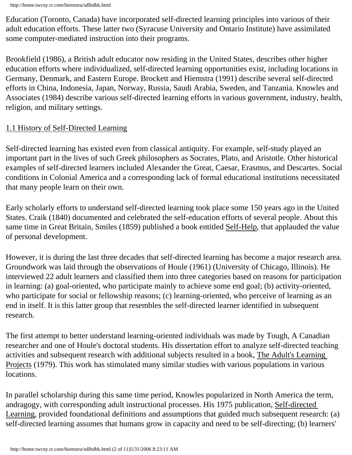Education (Toronto, Canada) have incorporated self-directed learning principles into various of their adult education efforts. These latter two (Syracuse University and Ontario Institute) have assimilated some computer-mediated instruction into their programs.

Brookfield (1986), a British adult educator now residing in the United States, describes other higher education efforts where individualized, self-directed learning opportunities exist, including locations in Germany, Denmark, and Eastern Europe. Brockett and Hiemstra (1991) describe several self-directed efforts in China, Indonesia, Japan, Norway, Russia, Saudi Arabia, Sweden, and Tanzania. Knowles and Associates (1984) describe various self-directed learning efforts in various government, industry, health, religion, and military settings.

#### 1.1 History of Self-Directed Learning

Self-directed learning has existed even from classical antiquity. For example, self-study played an important part in the lives of such Greek philosophers as Socrates, Plato, and Aristotle. Other historical examples of self-directed learners included Alexander the Great, Caesar, Erasmus, and Descartes. Social conditions in Colonial America and a corresponding lack of formal educational institutions necessitated that many people learn on their own.

Early scholarly efforts to understand self-directed learning took place some 150 years ago in the United States. Craik (1840) documented and celebrated the self-education efforts of several people. About this same time in Great Britain, Smiles (1859) published a book entitled Self-Help, that applauded the value of personal development.

However, it is during the last three decades that self-directed learning has become a major research area. Groundwork was laid through the observations of Houle (1961) (University of Chicago, Illinois). He interviewed 22 adult learners and classified them into three categories based on reasons for participation in learning: (a) goal-oriented, who participate mainly to achieve some end goal; (b) activity-oriented, who participate for social or fellowship reasons; (c) learning-oriented, who perceive of learning as an end in itself. It is this latter group that resembles the self-directed learner identified in subsequent research.

The first attempt to better understand learning-oriented individuals was made by Tough, A Canadian researcher and one of Houle's doctoral students. His dissertation effort to analyze self-directed teaching activities and subsequent research with additional subjects resulted in a book, The Adult's Learning Projects (1979). This work has stimulated many similar studies with various populations in various locations.

In parallel scholarship during this same time period, Knowles popularized in North America the term, andragogy, with corresponding adult instructional processes. His 1975 publication, Self-directed Learning, provided foundational definitions and assumptions that guided much subsequent research: (a) self-directed learning assumes that humans grow in capacity and need to be self-directing; (b) learners'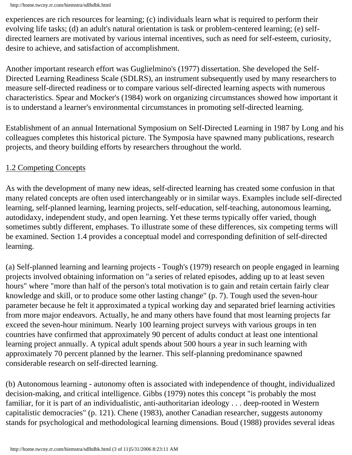experiences are rich resources for learning; (c) individuals learn what is required to perform their evolving life tasks; (d) an adult's natural orientation is task or problem-centered learning; (e) selfdirected learners are motivated by various internal incentives, such as need for self-esteem, curiosity, desire to achieve, and satisfaction of accomplishment.

Another important research effort was Guglielmino's (1977) dissertation. She developed the Self-Directed Learning Readiness Scale (SDLRS), an instrument subsequently used by many researchers to measure self-directed readiness or to compare various self-directed learning aspects with numerous characteristics. Spear and Mocker's (1984) work on organizing circumstances showed how important it is to understand a learner's environmental circumstances in promoting self-directed learning.

Establishment of an annual International Symposium on Self-Directed Learning in 1987 by Long and his colleagues completes this historical picture. The Symposia have spawned many publications, research projects, and theory building efforts by researchers throughout the world.

#### 1.2 Competing Concepts

As with the development of many new ideas, self-directed learning has created some confusion in that many related concepts are often used interchangeably or in similar ways. Examples include self-directed learning, self-planned learning, learning projects, self-education, self-teaching, autonomous learning, autodidaxy, independent study, and open learning. Yet these terms typically offer varied, though sometimes subtly different, emphases. To illustrate some of these differences, six competing terms will be examined. Section 1.4 provides a conceptual model and corresponding definition of self-directed learning.

(a) Self-planned learning and learning projects - Tough's (1979) research on people engaged in learning projects involved obtaining information on "a series of related episodes, adding up to at least seven hours" where "more than half of the person's total motivation is to gain and retain certain fairly clear knowledge and skill, or to produce some other lasting change" (p. 7). Tough used the seven-hour parameter because he felt it approximated a typical working day and separated brief learning activities from more major endeavors. Actually, he and many others have found that most learning projects far exceed the seven-hour minimum. Nearly 100 learning project surveys with various groups in ten countries have confirmed that approximately 90 percent of adults conduct at least one intentional learning project annually. A typical adult spends about 500 hours a year in such learning with approximately 70 percent planned by the learner. This self-planning predominance spawned considerable research on self-directed learning.

(b) Autonomous learning - autonomy often is associated with independence of thought, individualized decision-making, and critical intelligence. Gibbs (1979) notes this concept "is probably the most familiar, for it is part of an individualistic, anti-authoritarian ideology . . . deep-rooted in Western capitalistic democracies" (p. 121). Chene (1983), another Canadian researcher, suggests autonomy stands for psychological and methodological learning dimensions. Boud (1988) provides several ideas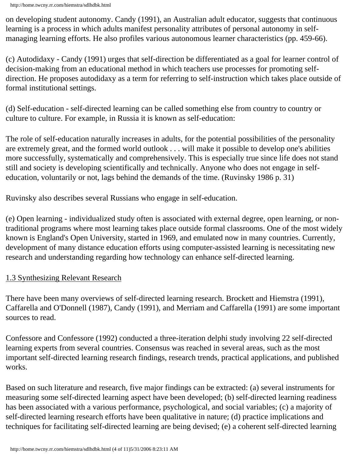on developing student autonomy. Candy (1991), an Australian adult educator, suggests that continuous learning is a process in which adults manifest personality attributes of personal autonomy in selfmanaging learning efforts. He also profiles various autonomous learner characteristics (pp. 459-66).

(c) Autodidaxy - Candy (1991) urges that self-direction be differentiated as a goal for learner control of decision-making from an educational method in which teachers use processes for promoting selfdirection. He proposes autodidaxy as a term for referring to self-instruction which takes place outside of formal institutional settings.

(d) Self-education - self-directed learning can be called something else from country to country or culture to culture. For example, in Russia it is known as self-education:

The role of self-education naturally increases in adults, for the potential possibilities of the personality are extremely great, and the formed world outlook . . . will make it possible to develop one's abilities more successfully, systematically and comprehensively. This is especially true since life does not stand still and society is developing scientifically and technically. Anyone who does not engage in selfeducation, voluntarily or not, lags behind the demands of the time. (Ruvinsky 1986 p. 31)

Ruvinsky also describes several Russians who engage in self-education.

(e) Open learning - individualized study often is associated with external degree, open learning, or nontraditional programs where most learning takes place outside formal classrooms. One of the most widely known is England's Open University, started in 1969, and emulated now in many countries. Currently, development of many distance education efforts using computer-assisted learning is necessitating new research and understanding regarding how technology can enhance self-directed learning.

#### 1.3 Synthesizing Relevant Research

There have been many overviews of self-directed learning research. Brockett and Hiemstra (1991), Caffarella and O'Donnell (1987), Candy (1991), and Merriam and Caffarella (1991) are some important sources to read.

Confessore and Confessore (1992) conducted a three-iteration delphi study involving 22 self-directed learning experts from several countries. Consensus was reached in several areas, such as the most important self-directed learning research findings, research trends, practical applications, and published works.

Based on such literature and research, five major findings can be extracted: (a) several instruments for measuring some self-directed learning aspect have been developed; (b) self-directed learning readiness has been associated with a various performance, psychological, and social variables; (c) a majority of self-directed learning research efforts have been qualitative in nature; (d) practice implications and techniques for facilitating self-directed learning are being devised; (e) a coherent self-directed learning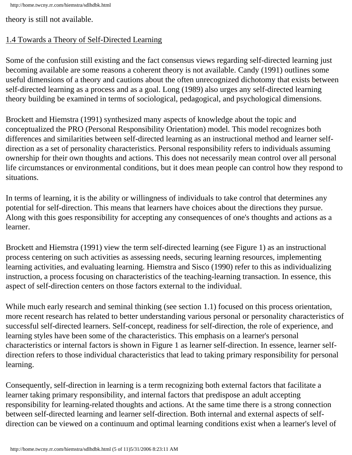http://home.twcny.rr.com/hiemstra/sdlhdbk.html

theory is still not available.

#### 1.4 Towards a Theory of Self-Directed Learning

Some of the confusion still existing and the fact consensus views regarding self-directed learning just becoming available are some reasons a coherent theory is not available. Candy (1991) outlines some useful dimensions of a theory and cautions about the often unrecognized dichotomy that exists between self-directed learning as a process and as a goal. Long (1989) also urges any self-directed learning theory building be examined in terms of sociological, pedagogical, and psychological dimensions.

Brockett and Hiemstra (1991) synthesized many aspects of knowledge about the topic and conceptualized the PRO (Personal Responsibility Orientation) model. This model recognizes both differences and similarities between self-directed learning as an instructional method and learner selfdirection as a set of personality characteristics. Personal responsibility refers to individuals assuming ownership for their own thoughts and actions. This does not necessarily mean control over all personal life circumstances or environmental conditions, but it does mean people can control how they respond to situations.

In terms of learning, it is the ability or willingness of individuals to take control that determines any potential for self-direction. This means that learners have choices about the directions they pursue. Along with this goes responsibility for accepting any consequences of one's thoughts and actions as a learner.

Brockett and Hiemstra (1991) view the term self-directed learning (see Figure 1) as an instructional process centering on such activities as assessing needs, securing learning resources, implementing learning activities, and evaluating learning. Hiemstra and Sisco (1990) refer to this as individualizing instruction, a process focusing on characteristics of the teaching-learning transaction. In essence, this aspect of self-direction centers on those factors external to the individual.

While much early research and seminal thinking (see section 1.1) focused on this process orientation, more recent research has related to better understanding various personal or personality characteristics of successful self-directed learners. Self-concept, readiness for self-direction, the role of experience, and learning styles have been some of the characteristics. This emphasis on a learner's personal characteristics or internal factors is shown in Figure 1 as learner self-direction. In essence, learner selfdirection refers to those individual characteristics that lead to taking primary responsibility for personal learning.

Consequently, self-direction in learning is a term recognizing both external factors that facilitate a learner taking primary responsibility, and internal factors that predispose an adult accepting responsibility for learning-related thoughts and actions. At the same time there is a strong connection between self-directed learning and learner self-direction. Both internal and external aspects of selfdirection can be viewed on a continuum and optimal learning conditions exist when a learner's level of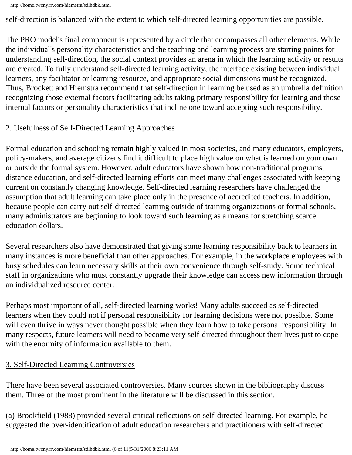self-direction is balanced with the extent to which self-directed learning opportunities are possible.

The PRO model's final component is represented by a circle that encompasses all other elements. While the individual's personality characteristics and the teaching and learning process are starting points for understanding self-direction, the social context provides an arena in which the learning activity or results are created. To fully understand self-directed learning activity, the interface existing between individual learners, any facilitator or learning resource, and appropriate social dimensions must be recognized. Thus, Brockett and Hiemstra recommend that self-direction in learning be used as an umbrella definition recognizing those external factors facilitating adults taking primary responsibility for learning and those internal factors or personality characteristics that incline one toward accepting such responsibility.

#### 2. Usefulness of Self-Directed Learning Approaches

Formal education and schooling remain highly valued in most societies, and many educators, employers, policy-makers, and average citizens find it difficult to place high value on what is learned on your own or outside the formal system. However, adult educators have shown how non-traditional programs, distance education, and self-directed learning efforts can meet many challenges associated with keeping current on constantly changing knowledge. Self-directed learning researchers have challenged the assumption that adult learning can take place only in the presence of accredited teachers. In addition, because people can carry out self-directed learning outside of training organizations or formal schools, many administrators are beginning to look toward such learning as a means for stretching scarce education dollars.

Several researchers also have demonstrated that giving some learning responsibility back to learners in many instances is more beneficial than other approaches. For example, in the workplace employees with busy schedules can learn necessary skills at their own convenience through self-study. Some technical staff in organizations who must constantly upgrade their knowledge can access new information through an individualized resource center.

Perhaps most important of all, self-directed learning works! Many adults succeed as self-directed learners when they could not if personal responsibility for learning decisions were not possible. Some will even thrive in ways never thought possible when they learn how to take personal responsibility. In many respects, future learners will need to become very self-directed throughout their lives just to cope with the enormity of information available to them.

## 3. Self-Directed Learning Controversies

There have been several associated controversies. Many sources shown in the bibliography discuss them. Three of the most prominent in the literature will be discussed in this section.

(a) Brookfield (1988) provided several critical reflections on self-directed learning. For example, he suggested the over-identification of adult education researchers and practitioners with self-directed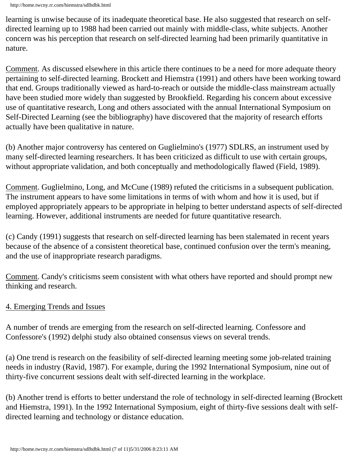learning is unwise because of its inadequate theoretical base. He also suggested that research on selfdirected learning up to 1988 had been carried out mainly with middle-class, white subjects. Another concern was his perception that research on self-directed learning had been primarily quantitative in nature.

Comment. As discussed elsewhere in this article there continues to be a need for more adequate theory pertaining to self-directed learning. Brockett and Hiemstra (1991) and others have been working toward that end. Groups traditionally viewed as hard-to-reach or outside the middle-class mainstream actually have been studied more widely than suggested by Brookfield. Regarding his concern about excessive use of quantitative research, Long and others associated with the annual International Symposium on Self-Directed Learning (see the bibliography) have discovered that the majority of research efforts actually have been qualitative in nature.

(b) Another major controversy has centered on Guglielmino's (1977) SDLRS, an instrument used by many self-directed learning researchers. It has been criticized as difficult to use with certain groups, without appropriate validation, and both conceptually and methodologically flawed (Field, 1989).

Comment. Guglielmino, Long, and McCune (1989) refuted the criticisms in a subsequent publication. The instrument appears to have some limitations in terms of with whom and how it is used, but if employed appropriately appears to be appropriate in helping to better understand aspects of self-directed learning. However, additional instruments are needed for future quantitative research.

(c) Candy (1991) suggests that research on self-directed learning has been stalemated in recent years because of the absence of a consistent theoretical base, continued confusion over the term's meaning, and the use of inappropriate research paradigms.

Comment. Candy's criticisms seem consistent with what others have reported and should prompt new thinking and research.

#### 4. Emerging Trends and Issues

A number of trends are emerging from the research on self-directed learning. Confessore and Confessore's (1992) delphi study also obtained consensus views on several trends.

(a) One trend is research on the feasibility of self-directed learning meeting some job-related training needs in industry (Ravid, 1987). For example, during the 1992 International Symposium, nine out of thirty-five concurrent sessions dealt with self-directed learning in the workplace.

(b) Another trend is efforts to better understand the role of technology in self-directed learning (Brockett and Hiemstra, 1991). In the 1992 International Symposium, eight of thirty-five sessions dealt with selfdirected learning and technology or distance education.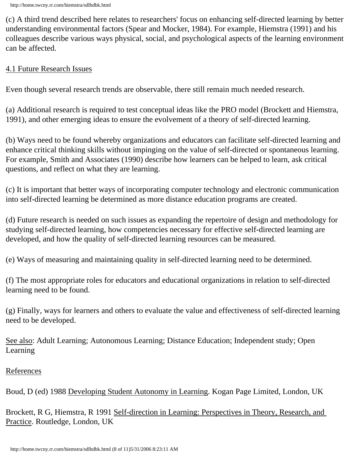(c) A third trend described here relates to researchers' focus on enhancing self-directed learning by better understanding environmental factors (Spear and Mocker, 1984). For example, Hiemstra (1991) and his colleagues describe various ways physical, social, and psychological aspects of the learning environment can be affected.

#### 4.1 Future Research Issues

Even though several research trends are observable, there still remain much needed research.

(a) Additional research is required to test conceptual ideas like the PRO model (Brockett and Hiemstra, 1991), and other emerging ideas to ensure the evolvement of a theory of self-directed learning.

(b) Ways need to be found whereby organizations and educators can facilitate self-directed learning and enhance critical thinking skills without impinging on the value of self-directed or spontaneous learning. For example, Smith and Associates (1990) describe how learners can be helped to learn, ask critical questions, and reflect on what they are learning.

(c) It is important that better ways of incorporating computer technology and electronic communication into self-directed learning be determined as more distance education programs are created.

(d) Future research is needed on such issues as expanding the repertoire of design and methodology for studying self-directed learning, how competencies necessary for effective self-directed learning are developed, and how the quality of self-directed learning resources can be measured.

(e) Ways of measuring and maintaining quality in self-directed learning need to be determined.

(f) The most appropriate roles for educators and educational organizations in relation to self-directed learning need to be found.

(g) Finally, ways for learners and others to evaluate the value and effectiveness of self-directed learning need to be developed.

See also: Adult Learning; Autonomous Learning; Distance Education; Independent study; Open Learning

#### References

Boud, D (ed) 1988 Developing Student Autonomy in Learning. Kogan Page Limited, London, UK

Brockett, R G, Hiemstra, R 1991 Self-direction in Learning: Perspectives in Theory, Research, and Practice. Routledge, London, UK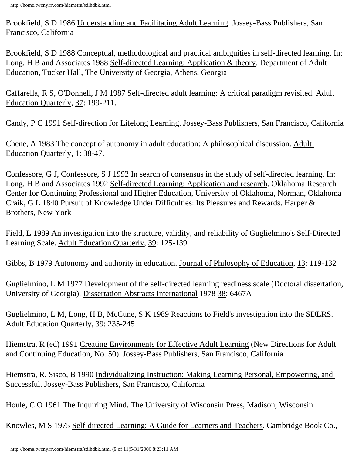Brookfield, S D 1986 Understanding and Facilitating Adult Learning. Jossey-Bass Publishers, San Francisco, California

Brookfield, S D 1988 Conceptual, methodological and practical ambiguities in self-directed learning. In: Long, H B and Associates 1988 Self-directed Learning: Application & theory. Department of Adult Education, Tucker Hall, The University of Georgia, Athens, Georgia

Caffarella, R S, O'Donnell, J M 1987 Self-directed adult learning: A critical paradigm revisited. Adult Education Quarterly, 37: 199-211.

Candy, P C 1991 Self-direction for Lifelong Learning. Jossey-Bass Publishers, San Francisco, California

Chene, A 1983 The concept of autonomy in adult education: A philosophical discussion. Adult Education Quarterly, 1: 38-47.

Confessore, G J, Confessore, S J 1992 In search of consensus in the study of self-directed learning. In: Long, H B and Associates 1992 Self-directed Learning: Application and research. Oklahoma Research Center for Continuing Professional and Higher Education, University of Oklahoma, Norman, Oklahoma Craik, G L 1840 Pursuit of Knowledge Under Difficulties: Its Pleasures and Rewards. Harper & Brothers, New York

Field, L 1989 An investigation into the structure, validity, and reliability of Guglielmino's Self-Directed Learning Scale. Adult Education Quarterly, 39: 125-139

Gibbs, B 1979 Autonomy and authority in education. Journal of Philosophy of Education, 13: 119-132

Guglielmino, L M 1977 Development of the self-directed learning readiness scale (Doctoral dissertation, University of Georgia). Dissertation Abstracts International 1978 38: 6467A

Guglielmino, L M, Long, H B, McCune, S K 1989 Reactions to Field's investigation into the SDLRS. Adult Education Quarterly, 39: 235-245

Hiemstra, R (ed) 1991 Creating Environments for Effective Adult Learning (New Directions for Adult and Continuing Education, No. 50). Jossey-Bass Publishers, San Francisco, California

Hiemstra, R, Sisco, B 1990 Individualizing Instruction: Making Learning Personal, Empowering, and Successful. Jossey-Bass Publishers, San Francisco, California

Houle, C O 1961 The Inquiring Mind. The University of Wisconsin Press, Madison, Wisconsin

Knowles, M S 1975 Self-directed Learning: A Guide for Learners and Teachers. Cambridge Book Co.,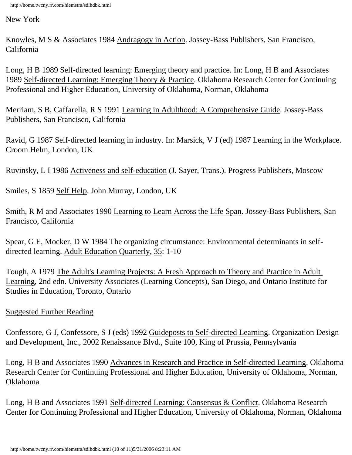New York

Knowles, M S & Associates 1984 Andragogy in Action. Jossey-Bass Publishers, San Francisco, California

Long, H B 1989 Self-directed learning: Emerging theory and practice. In: Long, H B and Associates 1989 Self-directed Learning: Emerging Theory & Practice. Oklahoma Research Center for Continuing Professional and Higher Education, University of Oklahoma, Norman, Oklahoma

Merriam, S B, Caffarella, R S 1991 Learning in Adulthood: A Comprehensive Guide. Jossey-Bass Publishers, San Francisco, California

Ravid, G 1987 Self-directed learning in industry. In: Marsick, V J (ed) 1987 Learning in the Workplace. Croom Helm, London, UK

Ruvinsky, L I 1986 Activeness and self-education (J. Sayer, Trans.). Progress Publishers, Moscow

Smiles, S 1859 Self Help. John Murray, London, UK

Smith, R M and Associates 1990 Learning to Learn Across the Life Span. Jossey-Bass Publishers, San Francisco, California

Spear, G E, Mocker, D W 1984 The organizing circumstance: Environmental determinants in selfdirected learning. Adult Education Quarterly, 35: 1-10

Tough, A 1979 The Adult's Learning Projects: A Fresh Approach to Theory and Practice in Adult Learning, 2nd edn. University Associates (Learning Concepts), San Diego, and Ontario Institute for Studies in Education, Toronto, Ontario

#### Suggested Further Reading

Confessore, G J, Confessore, S J (eds) 1992 Guideposts to Self-directed Learning. Organization Design and Development, Inc., 2002 Renaissance Blvd., Suite 100, King of Prussia, Pennsylvania

Long, H B and Associates 1990 Advances in Research and Practice in Self-directed Learning. Oklahoma Research Center for Continuing Professional and Higher Education, University of Oklahoma, Norman, Oklahoma

Long, H B and Associates 1991 Self-directed Learning: Consensus & Conflict. Oklahoma Research Center for Continuing Professional and Higher Education, University of Oklahoma, Norman, Oklahoma